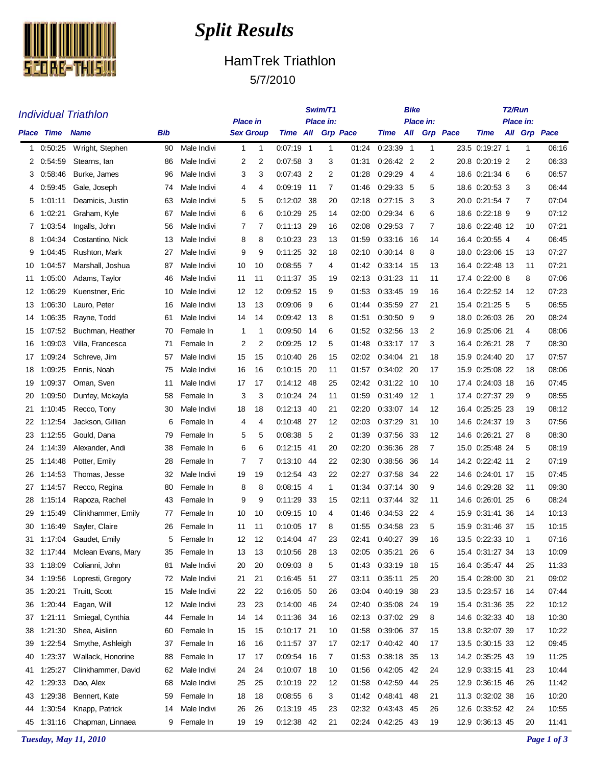

## *Split Results*

## HamTrek Triathlon 5/7/2010

**Swim/T1**

**Bike**

**T2/Run**

|          | <b>Individual Triathlon</b> |                                    |          |                            |                                     |              |                           |      | Swim/T1   |                |                          | Bike |              |                 | T2/Run                             |                      |                |  |
|----------|-----------------------------|------------------------------------|----------|----------------------------|-------------------------------------|--------------|---------------------------|------|-----------|----------------|--------------------------|------|--------------|-----------------|------------------------------------|----------------------|----------------|--|
|          | <b>Place Time Name</b>      |                                    | Bib      |                            | <b>Place in</b><br><b>Sex Group</b> |              | <b>Time All Grp Pace</b>  |      | Place in: |                | Time                     | All  | Place in:    | <b>Grp</b> Pace | Time                               | Place in:<br>All Grp | Pace           |  |
| 1        | 0:50:25                     | Wright, Stephen                    | 90       | Male Indivi                | 1                                   | $\mathbf{1}$ | $0.07:19$ 1               |      | 1         | 01:24          | 0:23:39 1                |      | $\mathbf{1}$ |                 | 23.5 0:19:27 1                     | 1                    | 06:16          |  |
| 2        | 0:54:59                     | Stearns, Ian                       | 86       | Male Indivi                | 2                                   | 2            | $0:07:58$ 3               |      | 3         | 01:31          | $0.26.42$ 2              |      | 2            |                 | 20.8 0:20:19 2                     | 2                    | 06:33          |  |
| 3        | 0.58:46                     | Burke, James                       | 96       | Male Indivi                | 3                                   | 3            | $0.07:43$ 2               |      | 2         | 01:28          | $0.29.29$ 4              |      | 4            |                 | 18.6 0:21:34 6                     | 6                    | 06:57          |  |
| 4        | 0.59.45                     | Gale, Joseph                       | 74       | Male Indivi                | 4                                   | 4            | 0:09:19 11                |      | 7         | 01:46          | 0.29.33 5                |      | 5            |                 | 18.6 0:20:53 3                     | 3                    | 06:44          |  |
| 5        | 1:01:11                     | Deamicis, Justin                   | 63       | Male Indivi                | 5                                   | 5            | 0:12:02                   | -38  | 20        | 02:18          | $0:27:15$ 3              |      | 3            |                 | 20.0 0:21:54 7                     | 7                    | 07:04          |  |
| 6        | 1:02:21                     | Graham, Kyle                       | 67       | Male Indivi                | 6                                   | 6            | 0:10:29 25                |      | 14        | 02:00          | $0:29:34$ 6              |      | 6            |                 | 18.6 0:22:18 9                     | 9                    | 07:12          |  |
| 7        | 1:03:54                     | Ingalls, John                      | 56       | Male Indivi                | 7                                   | 7            | $0:11:13$ 29              |      | 16        | 02:08          | $0.29.53$ 7              |      | 7            |                 | 18.6 0:22:48 12                    | 10                   | 07:21          |  |
| 8        | 1:04:34                     | Costantino, Nick                   | 13       | Male Indivi                | 8                                   | 8            | 0.10.23 23                |      | 13        | 01:59          | 0.33:16 16               |      | 14           |                 | 16.4 0:20:55 4                     | 4                    | 06:45          |  |
| 9        | 1:04:45                     | Rushton, Mark                      | 27       | Male Indivi                | 9                                   | 9            | $0:11:25$ 32              |      | 18        | 02:10          | $0.30.14$ 8              |      | 8            |                 | 18.0 0:23:06 15                    | 13                   | 07:27          |  |
| 10       | 1:04:57                     | Marshall, Joshua                   | 87       | Male Indivi                | 10                                  | 10           | 0:08:55 7                 |      | 4         | 01:42          | 0.33:14 15               |      | 13           |                 | 16.4 0:22:48 13                    | 11                   | 07:21          |  |
| 11       | 1:05:00                     | Adams, Taylor                      | 46       | Male Indivi                | 11                                  | 11           | 0:11:37 35                |      | 19        | 02:13          | $0.31:23$ 11             |      | 11           |                 | 17.4 0:22:00 8                     | 8                    | 07:06          |  |
| 12       | 1:06:29                     | Kuenstner, Eric                    | 10       | Male Indivi                | 12                                  | 12           | 0:09:52 15                |      | 9         | 01:53          | 0.33.45 19               |      | 16           |                 | 16.4 0:22:52 14                    | 12                   | 07:23          |  |
| 13       | 1:06:30                     | Lauro, Peter                       | 16       | Male Indivi                | 13                                  | 13           | 0.09.06                   | - 9  | 6         | 01:44          | 0.35.59 27               |      | 21           |                 | 15.4 0:21:25 5                     | 5                    | 06:55          |  |
| 14       | 1:06:35                     | Rayne, Todd                        | 61       | Male Indivi                | 14                                  | 14           | 0:09:42 13                |      | 8         | 01:51          | $0.30.50$ 9              |      | 9            |                 | 18.0 0:26:03 26                    | 20                   | 08:24          |  |
| 15       | 1:07:52                     | Buchman, Heather                   | 70       | Female In                  | 1                                   | 1            | 0:09:50 14                |      | 6         | 01:52          | 0.32:56 13               |      | 2            |                 | 16.9 0:25:06 21                    | 4                    | 08:06          |  |
| 16       | 1:09:03                     | Villa, Francesca                   | 71       | Female In                  | 2                                   | 2            | 0.09.25                   | - 12 | 5         | 01:48          | 0:33:17 17               |      | 3            |                 | 16.4 0:26:21 28                    | 7                    | 08:30          |  |
| 17       | 1:09:24                     | Schreve, Jim                       | 57       | Male Indivi                | 15                                  | 15           | 0:10:40 26                |      | 15        | 02:02          | 0.34.04 21               |      | 18           |                 | 15.9 0:24:40 20                    | 17                   | 07:57          |  |
| 18       | 1:09:25                     | Ennis, Noah                        | 75       | Male Indivi                | 16                                  | 16           | 0:10:15 20                |      | 11        | 01:57          | 0:34:02 20               |      | 17           |                 | 15.9 0:25:08 22                    | 18                   | 08:06          |  |
| 19       | 1:09:37                     | Oman, Sven                         | 11       | Male Indivi                | 17                                  | 17           | $0.14:12$ 48              |      | 25        | 02:42          | $0.31:22$ 10             |      | 10           |                 | 17.4 0:24:03 18                    | 16                   | 07:45          |  |
| 20       | 1:09.50                     | Dunfey, Mckayla                    | 58       | Female In                  | 3                                   | 3            | 0:10:24 24                |      | 11        | 01:59          | 0:31:49 12               |      | 1            |                 | 17.4 0:27:37 29                    | 9                    | 08:55          |  |
| 21       | 1:10:45                     | Recco, Tony                        | 30       | Male Indivi                | 18                                  | 18           | 0:12:13 40                |      | 21        | 02:20          | 0:33:07 14               |      | 12           |                 | 16.4 0:25:25 23                    | 19                   | 08:12          |  |
| 22       | 1:12:54                     | Jackson, Gillian                   | 6        | Female In                  | 4                                   | 4            | 0:10:48 27                |      | 12        | 02:03          | 0:37:29 31               |      | 10           |                 | 14.6 0:24:37 19                    | 3                    | 07:56          |  |
| 23       | 1:12:55                     | Gould, Dana                        | 79       | Female In                  | 5                                   | 5            | $0.08.38$ 5               |      | 2         | 01:39          | 0.37:56 33               |      | 12           |                 | 14.6 0:26:21 27                    | 8                    | 08:30          |  |
| 24       | 1:14:39                     | Alexander, Andi                    | 38       | Female In                  | 6                                   | 6            | $0:12:15$ 41              |      | 20        | 02:20          | 0.36.36                  | -28  | 7            |                 | 15.0 0:25:48 24                    | 5                    | 08:19          |  |
| 25       | 1:14:48                     | Potter, Emily                      | 28       | Female In                  | 7                                   | 7            | $0:13:10$ 44              |      | 22        | 02:30          | 0.38.56                  | -36  | 14           |                 | 14.2 0:22:42 11                    | 2                    | 07:19          |  |
| 26       | 1:14:53                     | Thomas, Jesse                      | 32       | Male Indivi                | 19                                  | 19           | 0.12.54 43                |      | 22        | 02:27          | 0.37:58 34               |      | 22           |                 | 14.6 0:24:01 17                    | 15                   | 07:45          |  |
| 27       | 1:14:57                     | Recco, Regina                      | 80       | Female In                  | 8                                   | 8            | $0.08:15$ 4               |      | 1.        | 01:34          | $0.37:14$ 30             |      | 9            |                 | 14.6 0:29:28 32                    | 11                   | 09:30          |  |
| 28       | 1:15:14                     | Rapoza, Rachel                     | 43       | Female In                  | 9                                   | 9            | 0:11:29                   | -33  | 15        | 02:11          | 0:37:44                  | -32  | 11           |                 | 14.6 0:26:01 25                    | 6                    | 08:24          |  |
| 29       | 1:15:49                     | Clinkhammer, Emily                 | 77       | Female In                  | 10                                  | 10           | 0:09:15                   | - 10 | 4         | 01:46          | 0:34:53 22               |      | 4            |                 | 15.9 0:31:41 36                    | 14                   | 10:13          |  |
| 30       | 1:16:49                     | Sayler, Claire                     | 26       | Female In                  | 11                                  | 11           | 0:10:05 17                |      | 8         | 01:55          | 0:34:58 23               |      | 5            |                 | 15.9 0:31:46 37                    | 15                   | 10:15          |  |
| 31       |                             | 1:17:04 Gaudet, Emily              | 5        | Female In                  | 12                                  | 12           | $0:14:04$ 47              |      | 23        | 02:41          | 0.40.27 39               |      | 16           |                 | 13.5 0:22:33 10                    | -1                   | 07:16          |  |
|          |                             | 32 1:17:44 Mclean Evans, Mary      | 35       | Female In                  | 13                                  | 13           | 0:10:56 28                |      | 13        | 02:05          | 0:35:21 26               |      | 6            |                 | 15.4 0:31:27 34                    | 13                   | 10:09          |  |
| 33       | 1:18:09                     | Colianni, John                     | 81       | Male Indivi                | 20                                  | 20           | $0:09:03$ 8<br>0:16:45 51 |      | 5         | 01:43          | $0:33:19$ 18             |      | 15           |                 | 16.4 0:35:47 44                    | 25                   | 11:33          |  |
| 34       | 1:19:56<br>1:20:21          | Lopresti, Gregory<br>Truitt, Scott | 72       | Male Indivi<br>Male Indivi | 21<br>22                            | 21<br>22     | 0:16:05 50                |      | 27        | 03:11<br>03:04 | 0:35:11 25<br>0:40:19 38 |      | 20           |                 | 15.4 0:28:00 30<br>13.5 0:23:57 16 | 21                   | 09:02<br>07:44 |  |
| 35<br>36 | 1:20:44                     | Eagan, Will                        | 15<br>12 | Male Indivi                | 23                                  | 23           | 0:14:00 46                |      | 26<br>24  | 02:40          | 0:35:08 24               |      | 23<br>19     |                 | 15.4 0:31:36 35                    | 14<br>22             | 10:12          |  |
| 37       | 1:21:11                     | Smiegal, Cynthia                   | 44       | Female In                  | 14                                  | 14           | 0:11:36 34                |      | 16        | 02:13          | 0:37:02 29               |      | 8            |                 | 14.6 0:32:33 40                    | 18                   | 10:30          |  |
| 38       | 1:21:30                     | Shea, Aislinn                      | 60       | Female In                  | 15                                  | 15           | 0:10:17 21                |      | 10        | 01:58          | 0:39:06 37               |      | 15           |                 | 13.8 0:32:07 39                    | 17                   | 10:22          |  |
| 39       | 1:22:54                     | Smythe, Ashleigh                   | 37       | Female In                  | 16                                  | 16           | 0:11:57 37                |      | 17        | 02:17          | 0:40:42 40               |      | 17           |                 | 13.5 0:30:15 33                    | 12                   | 09:45          |  |
| 40       | 1:23:37                     | Wallack, Honorine                  | 88       | Female In                  | 17                                  | 17           | 0:09:54 16                |      | 7         | 01:53          | 0:38:18 35               |      | 13           |                 | 14.2 0:35:25 43                    | 19                   | 11:25          |  |
| 41       | 1:25:27                     | Clinkhammer, David                 | 62       | Male Indivi                | 24                                  | 24           | $0:10:07$ 18              |      | 10        | 01:56          | $0.42:05$ 42             |      | 24           |                 | 12.9 0:33:15 41                    | 23                   | 10:44          |  |
| 42       | 1:29:33                     | Dao, Alex                          | 68       | Male Indivi                | 25                                  | 25           | 0:10:19 22                |      | 12        | 01:58          | 0:42:59 44               |      | 25           |                 | 12.9 0:36:15 46                    | 26                   | 11:42          |  |
| 43       | 1:29:38                     | Bennert, Kate                      | 59       | Female In                  | 18                                  | 18           | 0:08:556                  |      | 3         |                | 01:42 0:48:41 48         |      | 21           |                 | 11.3 0:32:02 38                    | 16                   | 10:20          |  |
| 44       | 1:30:54                     | Knapp, Patrick                     | 14       | Male Indivi                | 26                                  | 26           | 0:13:19 45                |      | 23        | 02:32          | 0:43:43 45               |      | 26           |                 | 12.6 0:33:52 42                    | 24                   | 10:55          |  |
|          |                             | 45 1:31:16 Chapman, Linnaea        | 9        | Female In                  | 19                                  | 19           | 0:12:38 42                |      | 21        |                | 02:24 0:42:25 43         |      | 19           |                 | 12.9 0:36:13 45                    | 20                   | 11:41          |  |
|          |                             |                                    |          |                            |                                     |              |                           |      |           |                |                          |      |              |                 |                                    |                      |                |  |

*Tuesday, May 11, 2010 Page 1 of 3*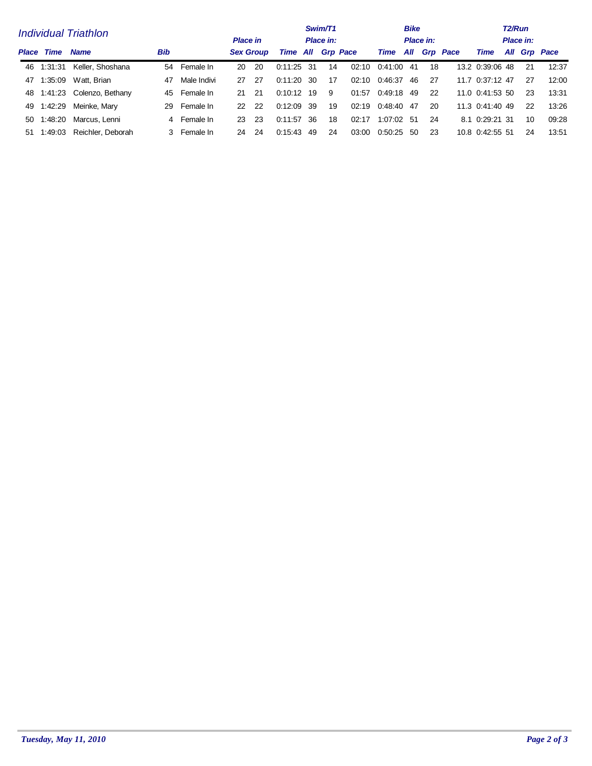|    |                                  | <b>Individual Triathlon</b> | Swim/T1<br>Place in:<br><b>Place in</b> |              |                  |     |              |      | T <sub>2</sub> /Run<br>Place in: |       |         |                           |    |                 |              |    |       |
|----|----------------------------------|-----------------------------|-----------------------------------------|--------------|------------------|-----|--------------|------|----------------------------------|-------|---------|---------------------------|----|-----------------|--------------|----|-------|
|    | <b>Place Time</b><br><b>Name</b> |                             | <b>Bib</b>                              |              | <b>Sex Group</b> |     | Time         |      | All Grp Pace                     |       | Time    | Place in:<br>All Grp Pace |    | Time            | All Grp Pace |    |       |
|    | 46 1:31:31                       | Keller, Shoshana            |                                         | 54 Female In | 20               | -20 | 0:11:25      | - 31 | 14                               | 02:10 | 0:41:00 | 41                        | 18 | 13.2 0:39:06 48 |              | 21 | 12:37 |
| 47 | 1:35:09                          | Watt, Brian                 | 47                                      | Male Indivi  | 27               | -27 | 0:11:20      | -30  | 17                               | 02:10 | 0:46:37 | 46                        | 27 | 11.7 0:37:12 47 |              | 27 | 12:00 |
|    |                                  | 48 1:41:23 Colenzo, Bethany | 45                                      | Female In    | 21               | -21 | $0.10.12$ 19 |      | 9                                | 01:57 | 0:49:18 | 49                        | 22 | 11.0 0:41:53 50 |              | 23 | 13:31 |
|    | 49 1:42:29                       | Meinke, Mary                | 29                                      | Female In    | 22               | 22  | 0.12.09      | -39  | 19                               | 02:19 | 0:48:40 | -47                       | 20 | 11.3 0:41:40 49 |              | 22 | 13:26 |
| 50 | 1.48.20                          | Marcus, Lenni               |                                         | 4 Female In  | 23               | -23 | 0.11:57      | -36  | 18                               | 02:17 | 1:07:02 | -51                       | 24 | 8.1 0:29:21 31  |              | 10 | 09:28 |
|    | 51 1:49:03                       | Reichler, Deborah           |                                         | 3 Female In  | 24               | 24  | 0.15.43      | 49   | 24                               | 03:00 | 0.50.25 | -50                       | 23 | 10.8 0.42.55 51 |              | 24 | 13:51 |